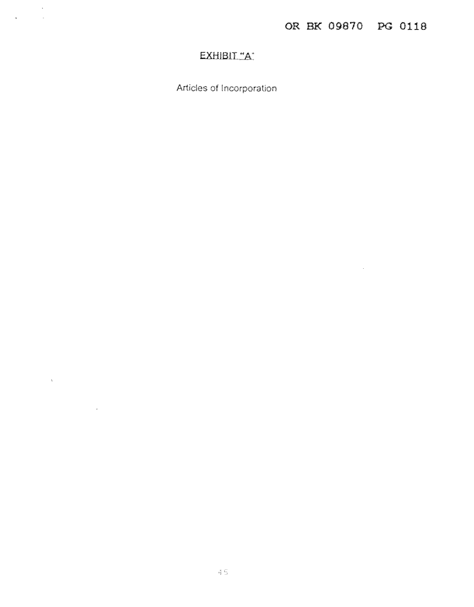# EXHIBIT "A"

 $\sim$   $\sim$  $\sim 10^7$ 

 $\mathcal{L}^{\text{max}}$ 

 $\epsilon$ 

 $\mathcal{L}_{\mathcal{A}}$ 

Articles of Incorporation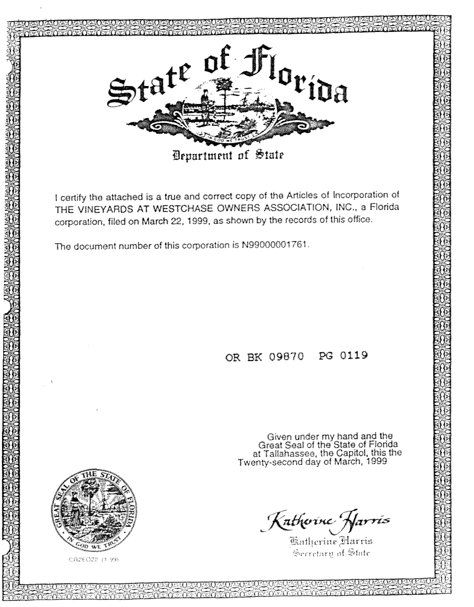

I certify the attached is a true and correct copy of the Articles of Incorporation of THE VINEYARDS AT WESTCHASE OWNERS ASSOCIATION, INC., a Florida corporation, filed on March 22, 1999, as shown by the records of this office.

The document number of this corporation is N99000001761.

# OR BK 09870 PG 0119

Given under my hand and the<br>Great Seal of the State of Florida<br>at Tallahassee, the Capitol, this the<br>Twenty-second day of March, 1999

Katherine Harris

Secretary of State



CR2EO22 (1 99)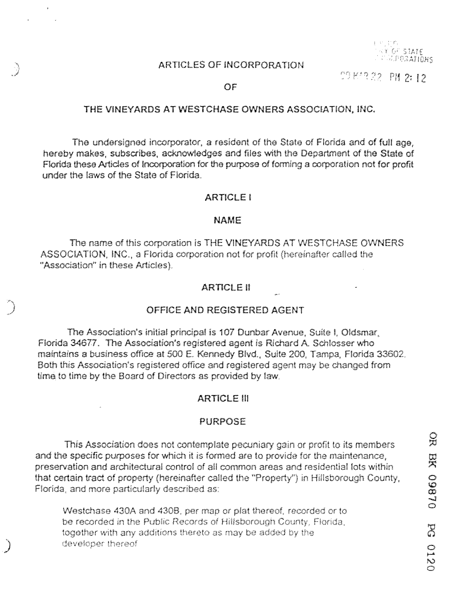#### ARTICLES OF INCORPORATION



PO K'R 22 PN 2:12

OF

*j* 

المبر<br>إلى المراكب<br>المراكب

*)* 

#### THE VINEYARDS AT WESTCHASE OWNERS ASSOCIATION, INC.

The undersigned incorporator, a resident of the State of Florida and of full age, hereby makes, subscribes, acknowledges and files with the Department of the State or Florida these Articles of Incorporation for the purpose of forming a corporation not for profit under the IB'WS of the State of Florida.

#### ARTICLE I

#### NAME

The name of this corporation is THE VINEYARDS AT WESTCHASE OWNERS ASSOCIATION, INC., a Florida corporation not for profit (hereinafter called the "Association" in these Articles).

## ARTICLE II

#### OFFICE AND REGISTERED AGENT

The Association's initial principal is 107 Dunbar Avenue, Suite I, Oldsmar, Florida 34677. The Association's registered agent is Richard A Schlosser who maintains a business office at 500 E. Kennedy Blvd., Suite 200, Tampa, Florida 33602. Both this Association's registered office and registered agent may be changed from time to time by the Board of Directors as provided by law.

#### ARTICLE Ill

#### **PURPOSE**

This Association does not contemplate pecuniary gain or profit to its members and the specific purposes for which it is formed are to provide for the maintenance, preservation and architectural control of all common areas and residential lots within that certain tract of property {hereinafter called the "Property") in Hillsborough County, Florida, and more particularly described as

Westchase 430A and 430B, per map or plat thereof, recorded or to be recorded in the Public Records of Hillsborough County, Florida. together with any additions thereto as may be added by the developer thereof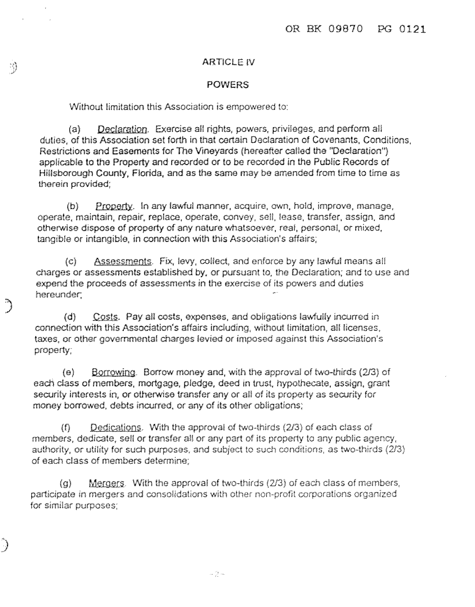## ARTICLE IV

#### POWERS

## Without limitation this Association is empowered to:

(a) **Deciaratioo.** Exercise all rights, powers, privileges, and perfonn all duties, of this Association set forth in that certain Declaration of Covenants, Conditions, Restrictions and Easements for The Vineyards (hereafter called the "Declaration") applicable to the Property and recorded or to be recorded in the Public Records of Hillsborough County, Florida, and as **the** same may be amended from time to time as therein provided;

(b) Property. In any lawful manner, acquire, own, hold, improve, manage, opera!e, maintain, repair, replace, operate, convey, sell, lease. transfer, assign, and otherwise dispose of property of any nature whatsoever, real, personal, or mixed, tangible or intangible, in connection with this Association's affairs;

(c) Assessments. Fix, levy, collect, and enforce by any lawful means all charges or assessments established by, or pursuant to, the Dedaration; and to usa and expend the proceeds of assessments in the exercise of its powers and duties hereunder;

(d) **Costs.** Pay all costs, expenses, and obligations lawfully inrurred in connection with this Association's affairs induding, without limitation, all licenses. taxes, or other governmental charges levied or imposed against this Association's property;

)<br>)<br>*)* 

ing mangkat<br>Kabupatèn Ka

)<br>)<br>)

**(e) Borrowing.** Borrow money and, with the approval of two-thirds (2/3) of each dass of members, mortgage, pledge, deed in trust, hypothecate, assign, grant security interests in, or otherwise transfer any or all of its property as security for<br>money borrowed, debts incurred, or any of its other obligations;<br>(f) Dedications. With the approval of two-thirds (2/3) of each class money borrowed. debts incurred, or any of its other obligations;

members, dedicate, sell or transfer all or any part of its property to any public agency, authority, or utility for such purposes, and subject to such conditions, as two-thirds (2/3). of each class of members determine;

 $(q)$  Mergers. With the approval of two-thirds (2/3) of each class of members, participate in mergers and consolidations with other non-profit corporations organized for similar purposes;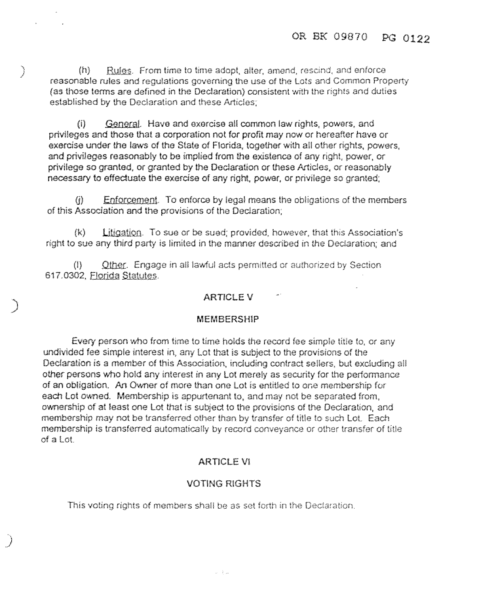(h) Rules. From time to lime adopt, alter, amend, rescind, and enforce reasonable rules and regulations governing the use of the Lots and Common Property (as those terms are defined in the Declaration) consistent with the rights and duties established by the Declaration and these Articles;

) ,'

*)* 

*)* 

(i) General. Have and exercise all common law rights, powers, and privileges and those that a corporation not for profit may now or hereafter have or exercise under the laws of the State of Florida, together with all other rights, powers, and privileges reasonably to be implied from the existence of any right, power, or privilege so granted, or granted by Iha Declaration or these Articles, or reasonably necessary to effectuate the exercise of any right, power, or privilege so granted; ivileges reasonably to be implied from the existence or any right, power, or<br>ge so granted, or granted by the Declaration or these Articles, or reasonably<br>sary to effectuate the exercise of any right, power, or privilege s

of this Association and the provisions of the Declaration;

 $(k)$  Litigation. To sue or be sued; provided, however, that this Association's right to sue any third party is limited in the manner described in the Oeclarallon; and

(I) Other. Engage in all lawful acts permitted or authorized by Section 617.0302, Florida Statutes.

## ARTICLE V

## MEMBERSHIP

Every person who from time to time holds the record fee simple title to, or any undivided fee simple interest in. any Lot that is subject to the provisions of the Declaration is a member of this Association, including contract sellers, but excluding all other persons who hold any interest in any Lot merely as security for the performance of an obligation. An Owner of more than one Lot is entitled to one membership for each Lot owned. Membership is appurtenant to, and may not be separated from, ownership of at least one Lot that is subject to the provisions of the Declaration, and membership may not be transferred other than by transfer of title to such Lot. Each membership is transferred automatically by record conveyance or other transfer of title of a lot.

## **ARTICLE VI**

## **VOTING** RIGHTS

This voting rights of members shall be as set forth in the Declaration.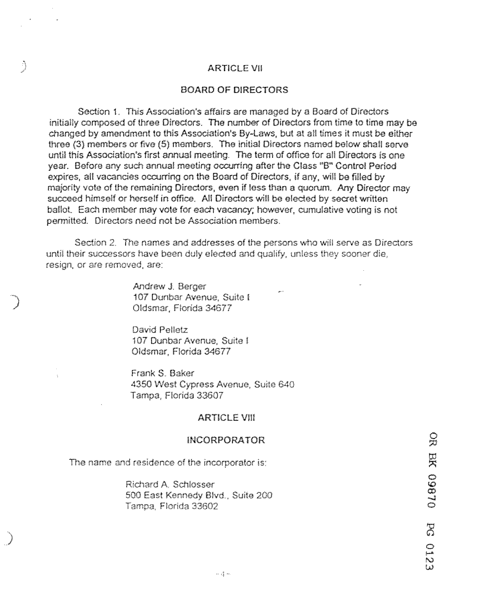#### ARTICLE VII

## BOARD OF DIRECTORS

Section 1. This Association's affairs are managed by a Board of Directors initially composed of three Directors. The number of Directors from time to time may be changed by amendment to this Association's By-Laws, but at all times it must be either three (3) members or five (5) members. The initial Directors named below shall serve until this Association's first annual meeting. The term of office for all Directors is one year. Before any such annual meeting occurring after the Class "B" Control Period expires, all vacancies occurring on the Board of Directors, if any, will be filled by majority vote of the remaining Directors, even if less than a quorum. Any Director may succeed himself or herself in office. All Directors will be elected by secret written ballot. Each member may vote for each vacancy; however, cumulative voting is not pennitted. Directors need not be Association members.

Section 2. The names and addresses of the persons who will serve as Directors until their successors have been duly elected and qualify, unless they sooner die, resign, or are removed, are:

> Andrew J. Berger 107 Dunbar Avenue, Suite I Oldsmar, Florida 34677

)

**Beach** 

*)* 

David Pelletz 107 Dunbar Avenue, Suite! Oldsmar, Florida *34677* 

Frank S. Baker 4350 West Cypress Avenue, Suite 640 Tampa, Florida 33607

## **ARTICLE VIII**

#### **IN CORPORA TOR**

The name and residence of the incorporator is:

Richard A Schlosser 500 East Kennedy Blvd., Suite 200 Tampa, Florida 33602

 $\frac{\Omega}{\Omega}$ **DL860 XE**  $\mathbb{S}$ C<br>U<br>U<br>U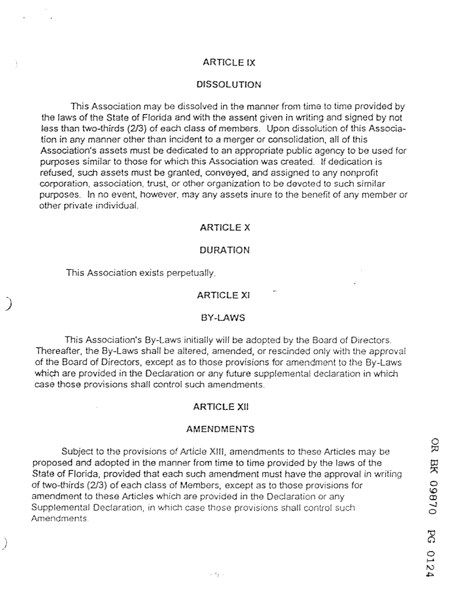## **ARTICLE IX**

#### DISSOLUTION

This Association may be dissolved in the manner from time to time provided by the laws of the State of Florida and with the assent given in writing and signed by not less than two-thirds (2/3) of each class of members. Upon dissolution of this Association in any manner other than incident to a merger or consolidation, all of this Association's assets must be dedicated to an appropriate public agency to be used for purposes similar to those for which this Association was created. !I dedication is refused, such assets must be granted, conveyed, and assigned 10 any nonprofit corporation. association, trust, or other organization lo be devoted lo such similar purposes. In no event. however. may any assets inure to the benefit of any member or other private individual.

## ARTICLE X

#### DURATION

This Association exists perpetually.

)<br>|<br>|<br>|<br>|<br>|

*j* 

## ARTICLE XI

#### BY-LAWS

This Association's By-laws initially will be adopted by the Board of Directors. Thereafter, the By-laws shall be altered, amended, or rescinded only with the approval of the Board of Directors, except as to those provisions for amendment to the By-Laws which are provided in the Declaration or any future supplemental declaration in which case those provisions shall control such amendments.

## ARTICLE XII

#### **AMENDMENTS**

Subject to the provisions of Article XIII, amendments to these Artides may be proposed and adopted in the manner from time to time provided by the laws of the State of Florida, provided that each such amendment must have the approval in writing of two-thirds (213) of each class of Members, except as to those provisions for amendment to these Articles which are provided in the Declaration or any Supplemental Declaration. in which case those provisions shall control such Amendments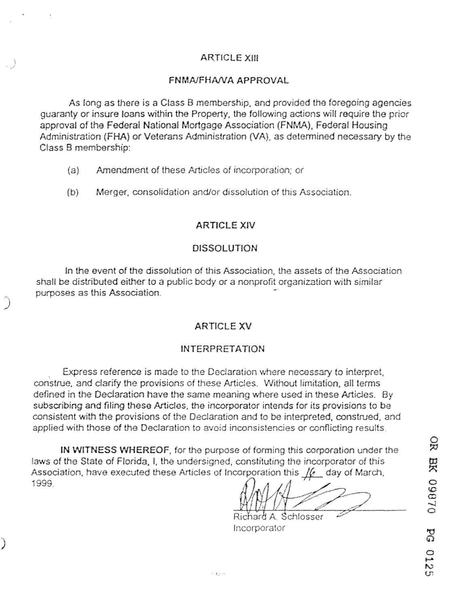## ARTICLE XIII

## FNMAJFHANA APPROVAL

As long as there is a Class B membership, and provided the foregoing agencies guaranty or insure loans within the Property, the following actions will require the prior approval of the Federal National Mortgage Association **{FNMA).** Federal Housing Administration {FHA) or Veterans Administration {VA). as determined necessary by the Class B membership:

(a) Amendment of these Articles of incorporation; or

)

**Identify** 

(b} Merger, consolidation and/or dissolution of this Association.

## ARTICLE XIV

## DISSOLUTION

In the event of the dissolution of this Association, the assets of the Association shall be distributed either to a public body or a nonprofit organization with similar purposes as this Association.

## **ARTICLE XV**

## INTERPRETATION

Express reference is made to the Declaration where necessary to interpret, construe, and clarify the provisions of these Articles. Without limitation, all terms defined in the Declaration have the same meaning where used in these Articles. By subscribing and filing these Articles, the incorporator intends for its provisions to be consistent with the provisions of the Declaration and to be interpreted, construed, and applied with those of the Declaration to avoid inconsistencies or conflicting results.

IN WITNESS WHEREOF, for the purpose of forming this corporation under the laws of the State of Florida, I, the undersigned, constituting the incorporator of this Association, have executed these Articles of Incorporation this  $\sqrt{\alpha}$  day of March, 1999.

Richard A. Schlosser **lncorporator**